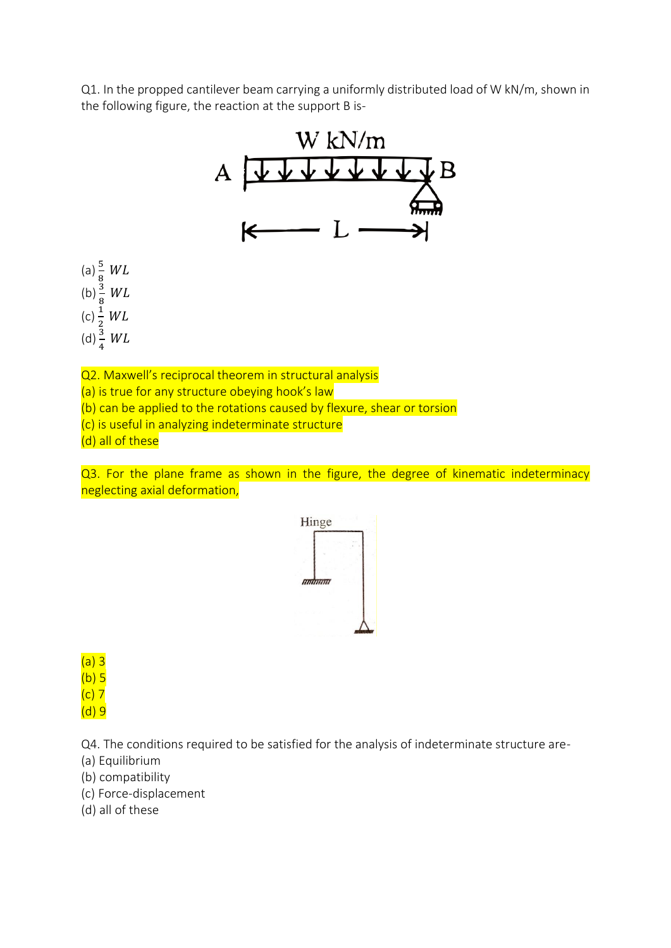Q1. In the propped cantilever beam carrying a uniformly distributed load of W kN/m, shown in the following figure, the reaction at the support B is-



(c) is useful in analyzing indeterminate structure

(d) all of these

Q3. For the plane frame as shown in the figure, the degree of kinematic indeterminacy neglecting axial deformation,



(a) 3  $(b) 5$  $(c)$  7

(d) 9

Q4. The conditions required to be satisfied for the analysis of indeterminate structure are-

- (a) Equilibrium
- (b) compatibility
- (c) Force-displacement
- (d) all of these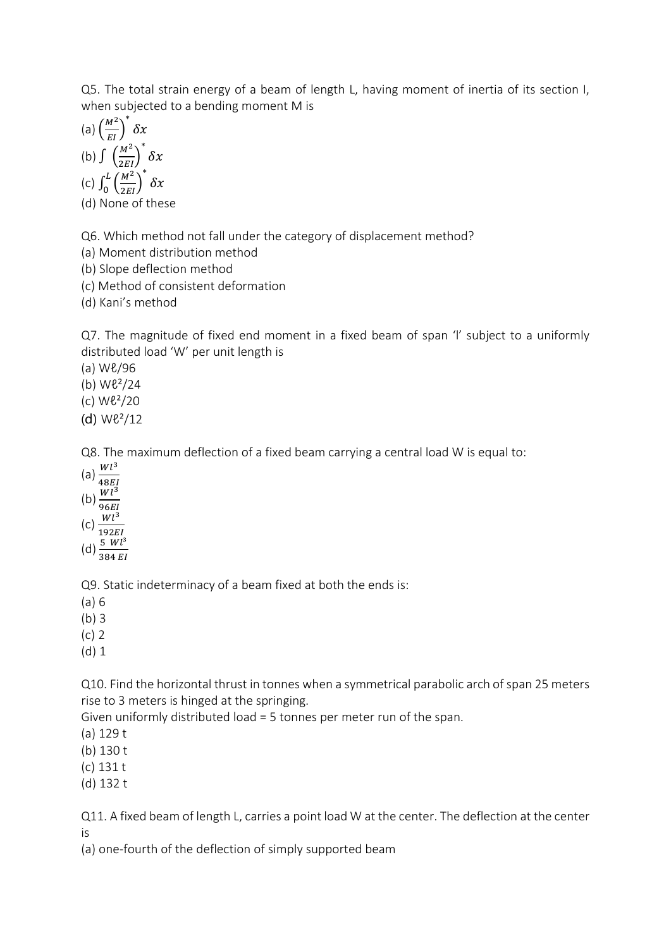Q5. The total strain energy of a beam of length L, having moment of inertia of its section I, when subjected to a bending moment M is

(a) 
$$
\left(\frac{M^2}{EI}\right)^* \delta x
$$
  
\n(b)  $\int \left(\frac{M^2}{2EI}\right)^* \delta x$   
\n(c)  $\int_0^L \left(\frac{M^2}{2EI}\right)^* \delta x$ 

(d) None of these

Q6. Which method not fall under the category of displacement method?

(a) Moment distribution method

(b) Slope deflection method

(c) Method of consistent deformation

(d) Kani's method

Q7. The magnitude of fixed end moment in a fixed beam of span 'l' subject to a uniformly distributed load 'W' per unit length is

(a) Wℓ/96

(b)  $W\ell^2/24$ 

(c) Wℓ²/20

(d) Wℓ²/12

Q8. The maximum deflection of a fixed beam carrying a central load W is equal to:

- (a)  $\frac{Wl^3}{40E}$
- 48
- (b)  $\frac{Wl^3}{26EI}$ 96
- $(c)$   $\frac{Wl^3}{102E}$
- 192
- (d)  $\frac{5 \ Wl^3}{384 \ EI}$

Q9. Static indeterminacy of a beam fixed at both the ends is:

(a) 6

(b) 3

- (c) 2
- (d) 1

Q10. Find the horizontal thrust in tonnes when a symmetrical parabolic arch of span 25 meters rise to 3 meters is hinged at the springing.

Given uniformly distributed load = 5 tonnes per meter run of the span.

(a) 129 t

(b) 130 t

(c) 131 t

(d) 132 t

Q11. A fixed beam of length L, carries a point load W at the center. The deflection at the center is

(a) one-fourth of the deflection of simply supported beam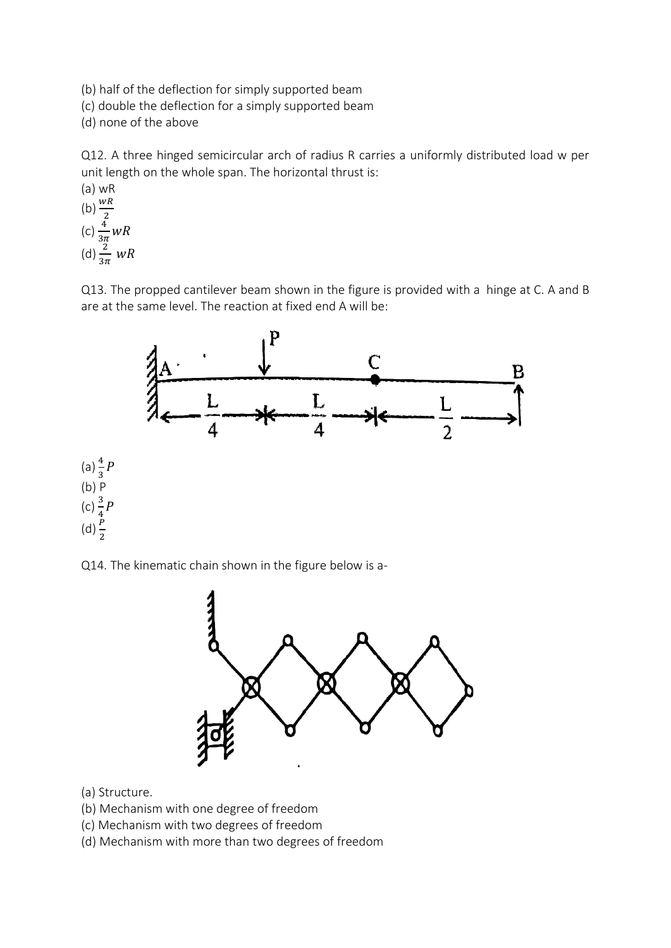(b) half of the deflection for simply supported beam

(c) double the deflection for a simply supported beam

(d) none of the above

Q12. A three hinged semicircular arch of radius R carries a uniformly distributed load w per unit length on the whole span. The horizontal thrust is:

(a) WR  
\n(b) 
$$
\frac{wR}{2}
$$
  
\n(c)  $\frac{4}{3\pi}WR$   
\n(d)  $\frac{2}{3\pi}wR$ 

Q13. The propped cantilever beam shown in the figure is provided with a hinge at C. A and B are at the same level. The reaction at fixed end A will be:



Q14. The kinematic chain shown in the figure below is a-



(a) Structure.

- (b) Mechanism with one degree of freedom
- (c) Mechanism with two degrees of freedom
- (d) Mechanism with more than two degrees of freedom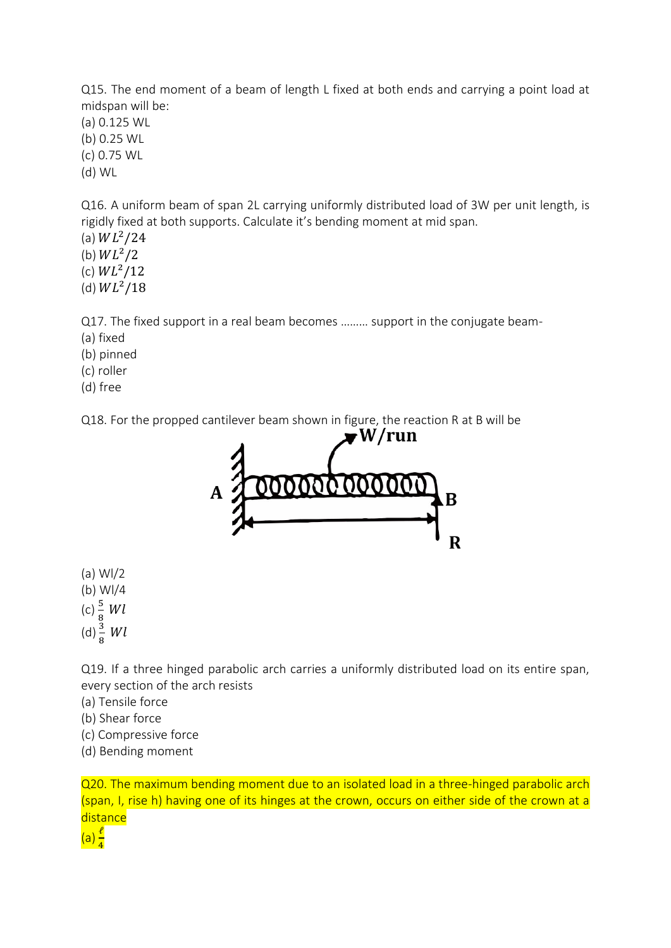Q15. The end moment of a beam of length L fixed at both ends and carrying a point load at midspan will be:

(a) 0.125 WL (b) 0.25 WL (c) 0.75 WL (d) WL

Q16. A uniform beam of span 2L carrying uniformly distributed load of 3W per unit length, is rigidly fixed at both supports. Calculate it's bending moment at mid span.

- (a)  $WL^2/24$
- (b)  $WL^2/2$
- (c)  $WL^2/12$
- (d)  $WL^2/18$

Q17. The fixed support in a real beam becomes ……… support in the conjugate beam-

- (a) fixed
- (b) pinned
- (c) roller
- (d) free

Q18. For the propped cantilever beam shown in figure, the reaction R at B will be



- (a) Wl/2 (b) Wl/4
- (c)  $\frac{5}{8}$  Wl
- 
- (d)  $\frac{3}{8}$  Wl

Q19. If a three hinged parabolic arch carries a uniformly distributed load on its entire span, every section of the arch resists

- (a) Tensile force
- (b) Shear force
- (c) Compressive force
- (d) Bending moment

Q20. The maximum bending moment due to an isolated load in a three-hinged parabolic arch (span, I, rise h) having one of its hinges at the crown, occurs on either side of the crown at a **distance** 

 $(a)$  $\frac{\ell}{4}$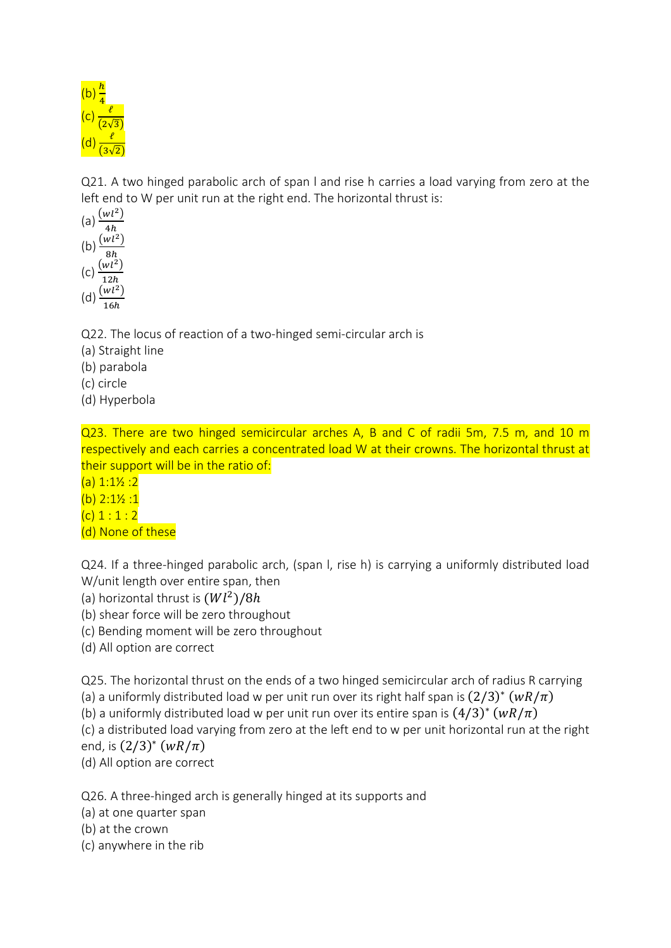

Q21. A two hinged parabolic arch of span l and rise h carries a load varying from zero at the left end to W per unit run at the right end. The horizontal thrust is:



Q22. The locus of reaction of a two-hinged semi-circular arch is

- (a) Straight line
- (b) parabola
- (c) circle
- (d) Hyperbola

Q23. There are two hinged semicircular arches A, B and C of radii 5m, 7.5 m, and 10 m respectively and each carries a concentrated load W at their crowns. The horizontal thrust at their support will be in the ratio of:

- $(a) 1:1\frac{1}{2} : 2$
- $(b)$  2:1 $\frac{1}{2}$ :1
- $(c) 1 : 1 : 2$
- (d) None of these

Q24. If a three-hinged parabolic arch, (span l, rise h) is carrying a uniformly distributed load W/unit length over entire span, then

- (a) horizontal thrust is  $(Wl^2)/8h$
- (b) shear force will be zero throughout
- (c) Bending moment will be zero throughout
- (d) All option are correct

Q25. The horizontal thrust on the ends of a two hinged semicircular arch of radius R carrying (a) a uniformly distributed load w per unit run over its right half span is  $(2/3)^*$   $(wR/\pi)$ 

(b) a uniformly distributed load w per unit run over its entire span is  $(4/3)^*$   $(wR/\pi)$ 

(c) a distributed load varying from zero at the left end to w per unit horizontal run at the right end, is  $(2/3)^* (wR/\pi)$ 

(d) All option are correct

Q26. A three-hinged arch is generally hinged at its supports and

(a) at one quarter span

(b) at the crown

(c) anywhere in the rib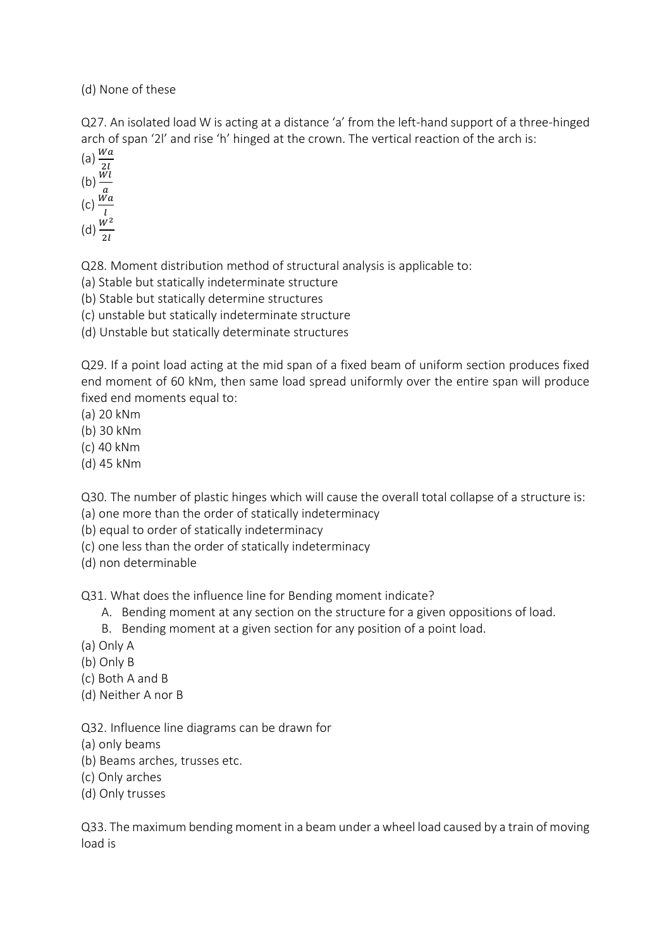(d) None of these

Q27. An isolated load W is acting at a distance 'a' from the left-hand support of a three-hinged arch of span '2l' and rise 'h' hinged at the crown. The vertical reaction of the arch is:

(a)  $\frac{Wa}{2l}$ <br>(b)  $\frac{Wl}{a}$ <br>(c)  $\frac{Wa}{l}$ (d)  $\frac{W^2}{2l}$ 

Q28. Moment distribution method of structural analysis is applicable to:

(a) Stable but statically indeterminate structure

(b) Stable but statically determine structures

(c) unstable but statically indeterminate structure

(d) Unstable but statically determinate structures

Q29. If a point load acting at the mid span of a fixed beam of uniform section produces fixed end moment of 60 kNm, then same load spread uniformly over the entire span will produce fixed end moments equal to:

(a) 20 kNm

(b) 30 kNm

(c) 40 kNm

(d) 45 kNm

Q30. The number of plastic hinges which will cause the overall total collapse of a structure is:

(a) one more than the order of statically indeterminacy

(b) equal to order of statically indeterminacy

(c) one less than the order of statically indeterminacy

(d) non determinable

Q31. What does the influence line for Bending moment indicate?

A. Bending moment at any section on the structure for a given oppositions of load.

B. Bending moment at a given section for any position of a point load.

- (a) Only A
- (b) Only B
- (c) Both A and B
- (d) Neither A nor B

Q32. Influence line diagrams can be drawn for

- (a) only beams
- (b) Beams arches, trusses etc.
- (c) Only arches
- (d) Only trusses

Q33. The maximum bending moment in a beam under a wheel load caused by a train of moving load is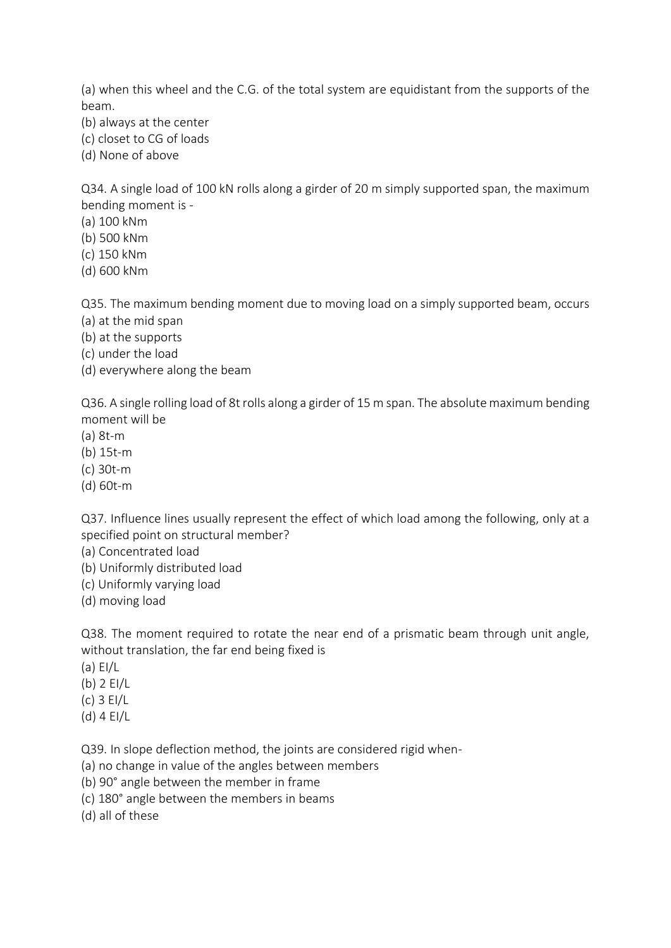(a) when this wheel and the C.G. of the total system are equidistant from the supports of the beam.

- (b) always at the center
- (c) closet to CG of loads
- (d) None of above

Q34. A single load of 100 kN rolls along a girder of 20 m simply supported span, the maximum bending moment is -

- (a) 100 kNm
- (b) 500 kNm
- (c) 150 kNm
- (d) 600 kNm

Q35. The maximum bending moment due to moving load on a simply supported beam, occurs

- (a) at the mid span
- (b) at the supports
- (c) under the load
- (d) everywhere along the beam

Q36. A single rolling load of 8t rolls along a girder of 15 m span. The absolute maximum bending moment will be

- (a) 8t-m
- (b) 15t-m
- (c) 30t-m
- (d) 60t-m

Q37. Influence lines usually represent the effect of which load among the following, only at a specified point on structural member?

- (a) Concentrated load
- (b) Uniformly distributed load
- (c) Uniformly varying load
- (d) moving load

Q38. The moment required to rotate the near end of a prismatic beam through unit angle, without translation, the far end being fixed is

- (a) EI/L
- (b) 2 EI/L
- (c) 3 EI/L
- (d) 4 EI/L

Q39. In slope deflection method, the joints are considered rigid when-

- (a) no change in value of the angles between members
- (b) 90° angle between the member in frame
- (c) 180° angle between the members in beams

(d) all of these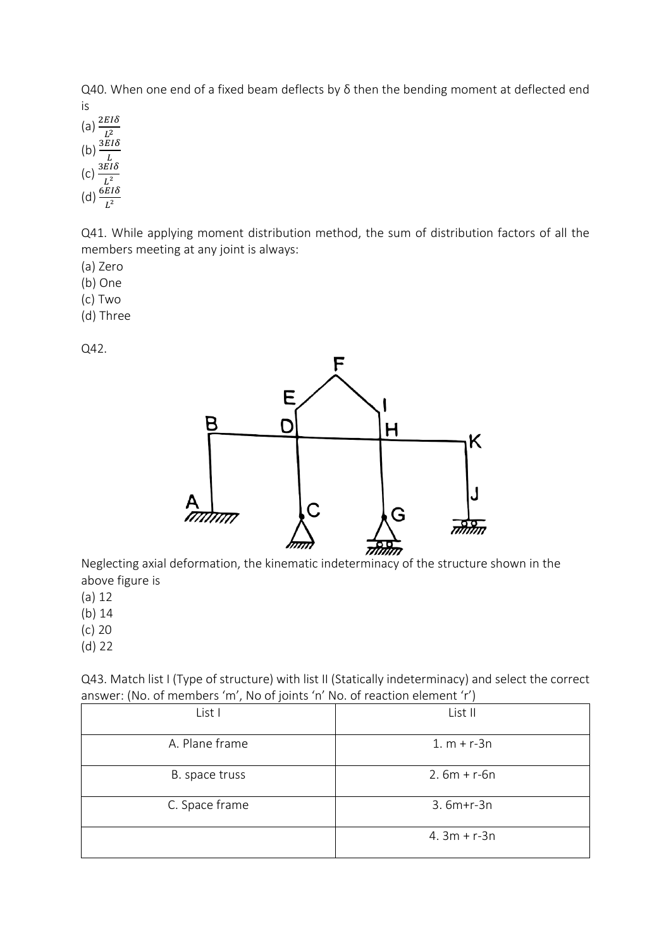Q40. When one end of a fixed beam deflects by δ then the bending moment at deflected end is

(a)  $\frac{2EI\delta}{L^2}$ (b)  $\frac{3EI\delta}{L}$  $\sqrt{\frac{L}{2EI\delta}}$ (d)  $\frac{L^2}{L^2}$ 

Q41. While applying moment distribution method, the sum of distribution factors of all the members meeting at any joint is always:

- (a) Zero
- (b) One
- (c) Two
- (d) Three

Q42.



Neglecting axial deformation, the kinematic indeterminacy of the structure shown in the above figure is

(a) 12

(b) 14

- (c) 20
- (d) 22

Q43. Match list I (Type of structure) with list II (Statically indeterminacy) and select the correct answer: (No. of members 'm', No of joints 'n' No. of reaction element 'r')

| ,              |                 |
|----------------|-----------------|
| List I         | List II         |
| A. Plane frame | $1. m + r - 3n$ |
| B. space truss | $2.6m + r - 6n$ |
| C. Space frame | $3.6m+r-3n$     |
|                | $4.3m + r - 3n$ |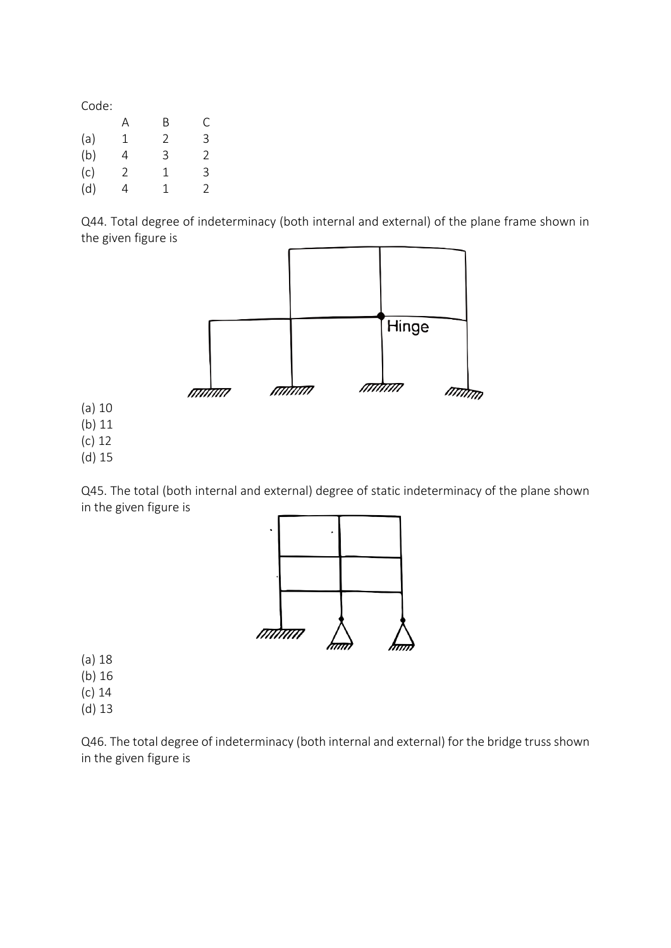|     | А | B | С |
|-----|---|---|---|
| (a) | 1 | 2 | 3 |
| (b) | 4 | 3 | 2 |
| (c) | 2 | 1 | 3 |
| (d) | 4 | 1 | 2 |

Q44. Total degree of indeterminacy (both internal and external) of the plane frame shown in the given figure is



Q45. The total (both internal and external) degree of static indeterminacy of the plane shown in the given figure is



(a) 18

(b) 16

(c) 14

(d) 13

Q46. The total degree of indeterminacy (both internal and external) for the bridge truss shown in the given figure is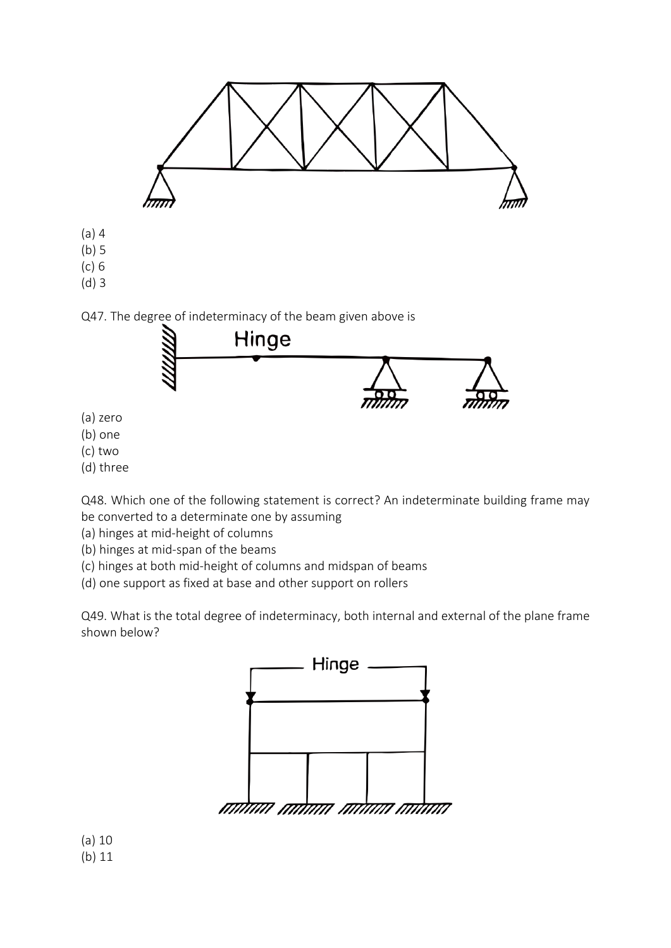

- (a) zero
- (b) one
- (c) two
- (d) three

Q48. Which one of the following statement is correct? An indeterminate building frame may be converted to a determinate one by assuming

(a) hinges at mid-height of columns

- (b) hinges at mid-span of the beams
- (c) hinges at both mid-height of columns and midspan of beams
- (d) one support as fixed at base and other support on rollers

Q49. What is the total degree of indeterminacy, both internal and external of the plane frame shown below?



(a) 10 (b) 11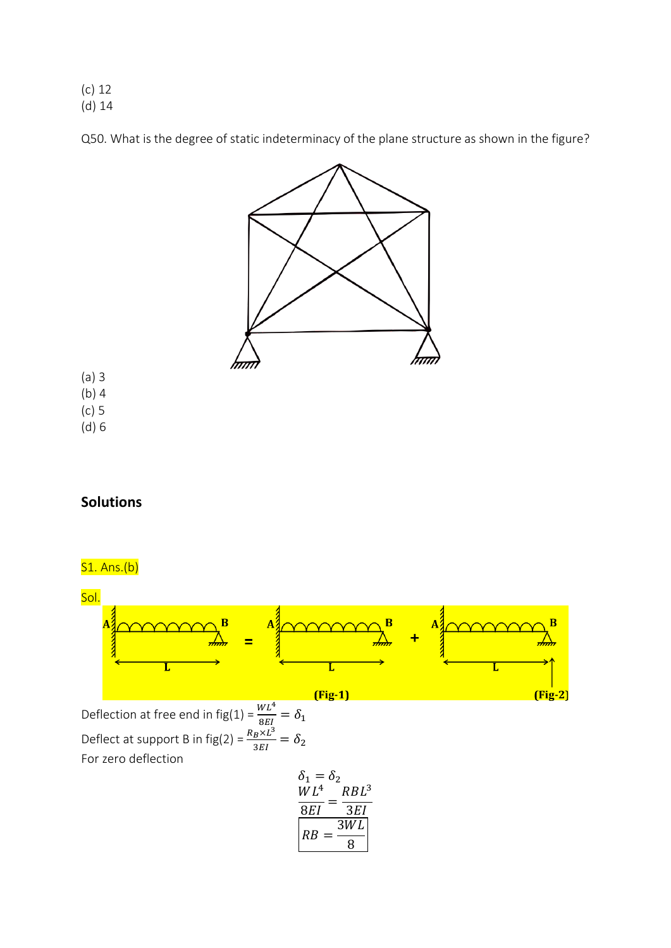(c) 12 (d) 14

Q50. What is the degree of static indeterminacy of the plane structure as shown in the figure?



- (a) 3 (b) 4
- (c) 5
- (d) 6

## **Solutions**

# S1. Ans.(b)



Deflection at free end in fig(1) =  $\frac{WL^4}{2E}$  $\frac{\delta E}{\delta EI} = \delta_1$ Deflect at support B in fig(2) =  $\frac{R_B \times L^3}{2E}$  $\frac{B^{\lambda L}}{3EI} = \delta_2$ For zero deflection

$$
\begin{aligned}\n\delta_1 &= \delta_2\\ \n\frac{WL^4}{8EI} &= \frac{RBL^3}{3EI}\\ \nRB &= \frac{3WL}{8}\n\end{aligned}
$$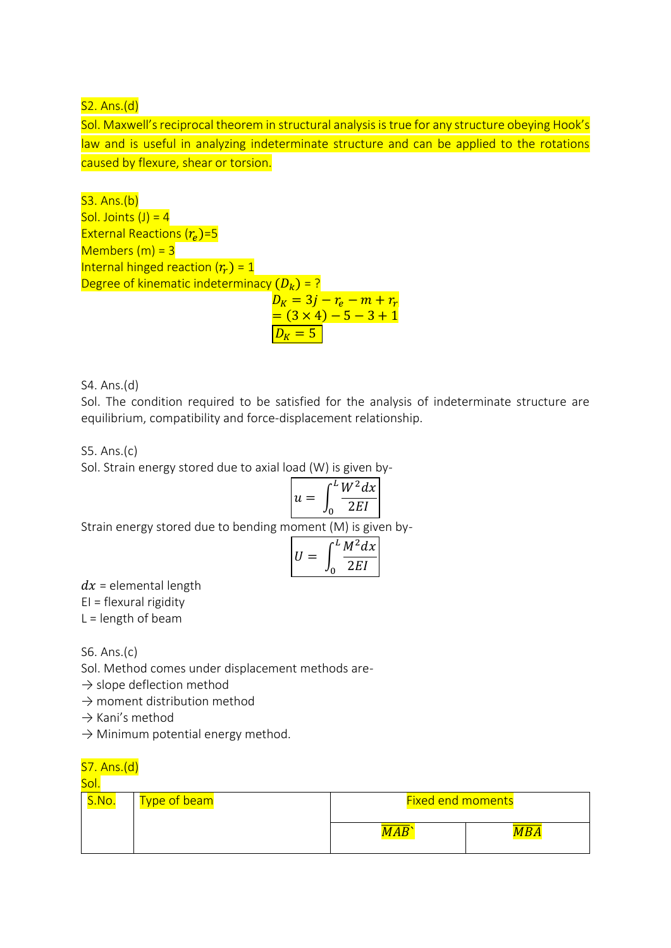$S2. Ans.(d)$ 

Sol. Maxwell's reciprocal theorem in structural analysis is true for any structure obeying Hook's law and is useful in analyzing indeterminate structure and can be applied to the rotations caused by flexure, shear or torsion.

S3. Ans.(b) Sol. Joints  $(J) = 4$ External Reactions  $(r_e)$ =5  $M$ embers  $(m)$  = 3 Internal hinged reaction  $(r_r) = 1$ Degree of kinematic indeterminacy  $(D_k) = ?$  $D_K = 3j - r_e - m + r_r$  $=(3 \times 4) - 5 - 3 + 1$ 

S4. Ans.(d)

Sol. The condition required to be satisfied for the analysis of indeterminate structure are equilibrium, compatibility and force-displacement relationship.

 $D_v = 5$ 

S5. Ans.(c)

Sol. Strain energy stored due to axial load (W) is given by-

$$
u = \int_0^L \frac{W^2 dx}{2EI}
$$

Strain energy stored due to bending moment (M) is given by-

$$
U = \int_0^L \frac{M^2 dx}{2EI}
$$

 $dx =$  elemental length

EI = flexural rigidity

 $L =$  length of beam

S6. Ans.(c)

Sol. Method comes under displacement methods are-

 $\rightarrow$  slope deflection method

 $\rightarrow$  moment distribution method

 $\rightarrow$  Kani's method

 $\rightarrow$  Minimum potential energy method.

## S7. Ans.(d)

Sol.

| <u>Type of beam</u> | <b>Fixed end moments</b> |  |
|---------------------|--------------------------|--|
|                     |                          |  |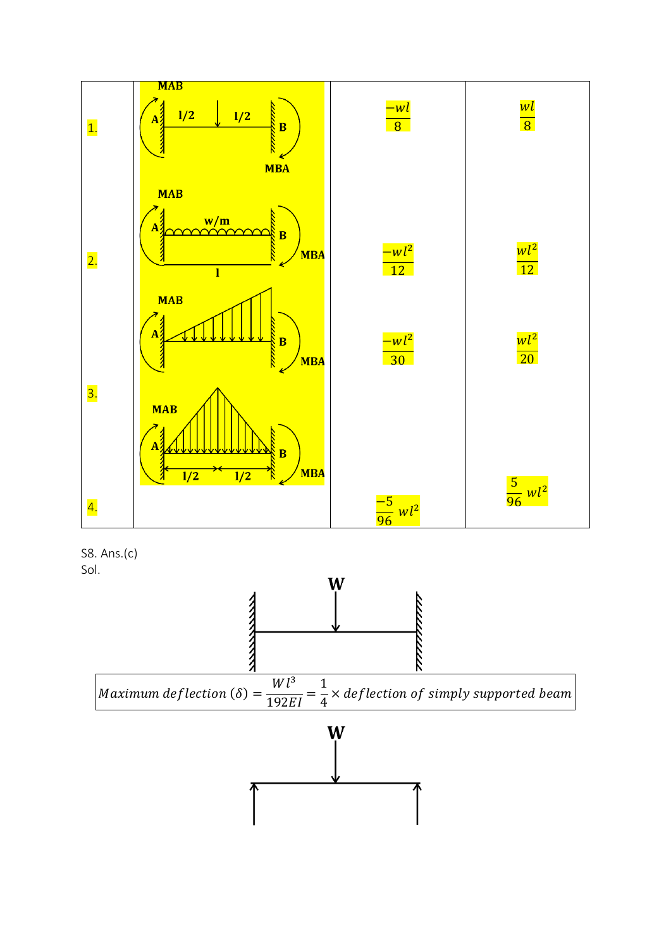

S8. Ans.(c) Sol.

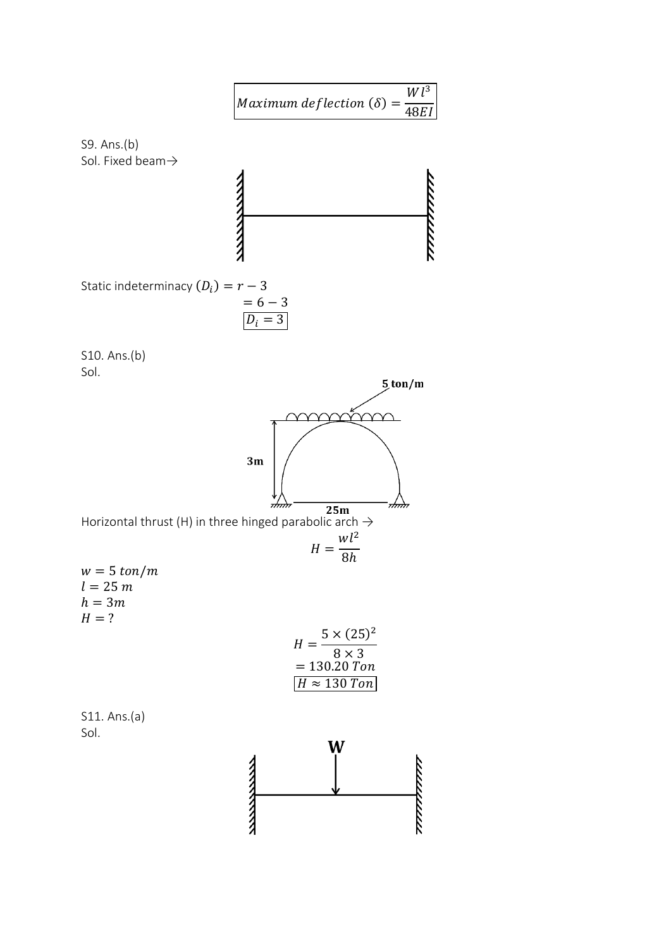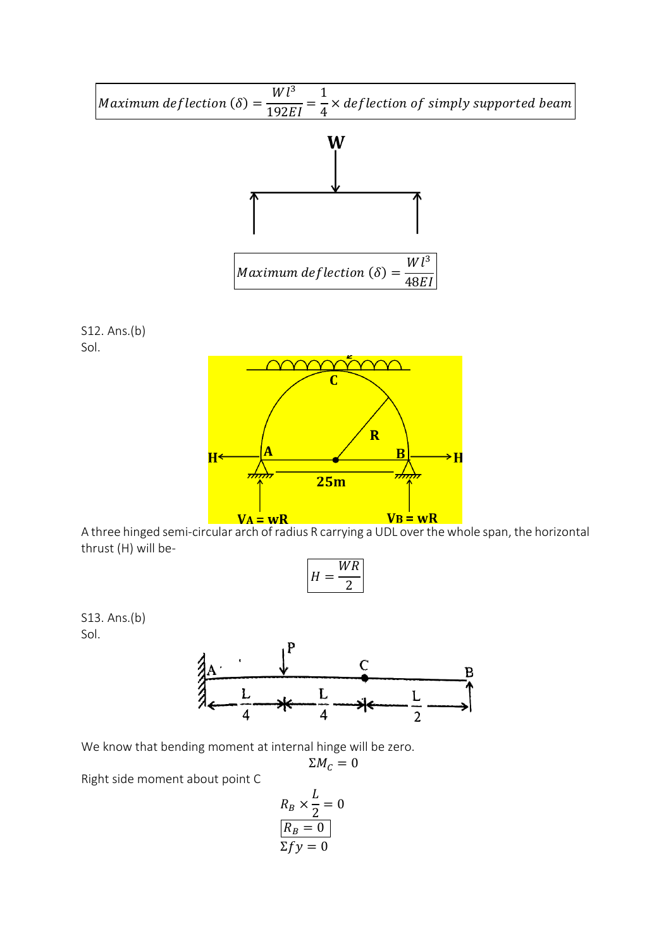

$$
H = \frac{WR}{2}
$$

S13. Ans.(b) Sol.



We know that bending moment at internal hinge will be zero.

$$
\Sigma M_C=0
$$

Right side moment about point C

$$
R_B \times \frac{L}{2} = 0
$$
  

$$
\boxed{R_B = 0}
$$
  

$$
\Sigma f y = 0
$$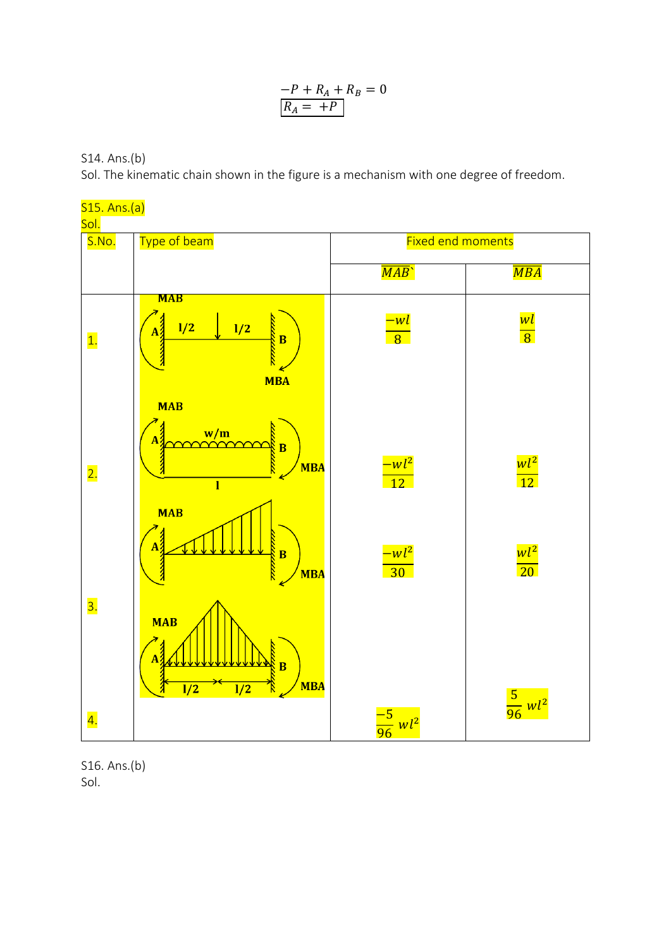$$
\frac{-P + R_A + R_B = 0}{R_A = +P}
$$

S14. Ans.(b)

Sol. The kinematic chain shown in the figure is a mechanism with one degree of freedom.



S16. Ans.(b) Sol.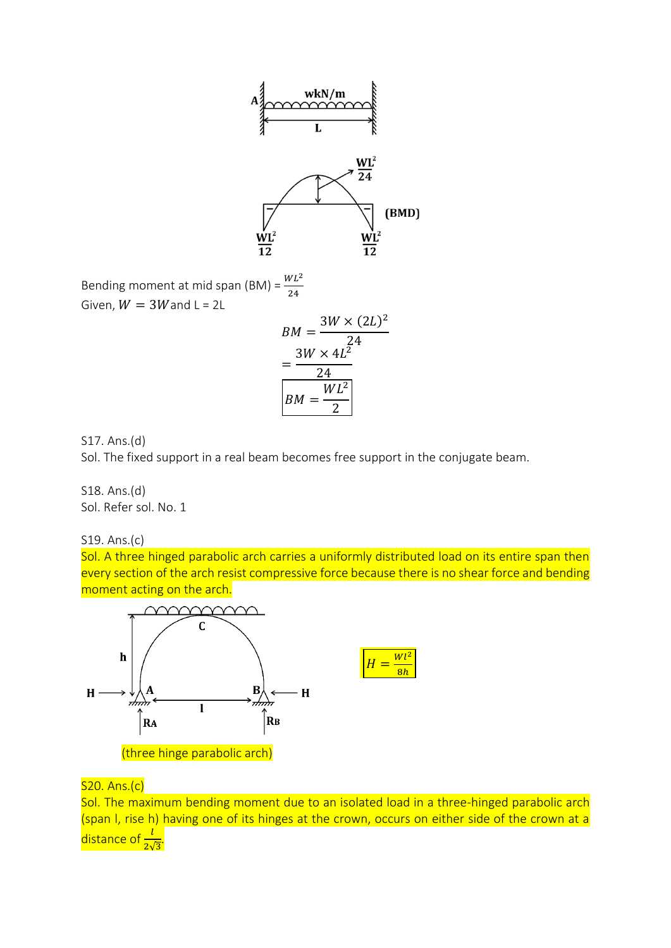

Bending moment at mid span (BM) =  $\frac{WL^2}{24}$ 24 Given,  $W = 3W$  and  $L = 2L$ 

$$
BM = \frac{3W \times (2L)^2}{24}
$$

$$
= \frac{3W \times 4L^2}{24}
$$

$$
BM = \frac{WL^2}{2}
$$

S17. Ans.(d)

Sol. The fixed support in a real beam becomes free support in the conjugate beam.

S18. Ans.(d) Sol. Refer sol. No. 1

S19. Ans.(c)

Sol. A three hinged parabolic arch carries a uniformly distributed load on its entire span then every section of the arch resist compressive force because there is no shear force and bending moment acting on the arch.



#### S20. Ans.(c)

Sol. The maximum bending moment due to an isolated load in a three-hinged parabolic arch (span I, rise h) having one of its hinges at the crown, occurs on either side of the crown at a distance of  $\frac{l}{2\sqrt{3}}$ .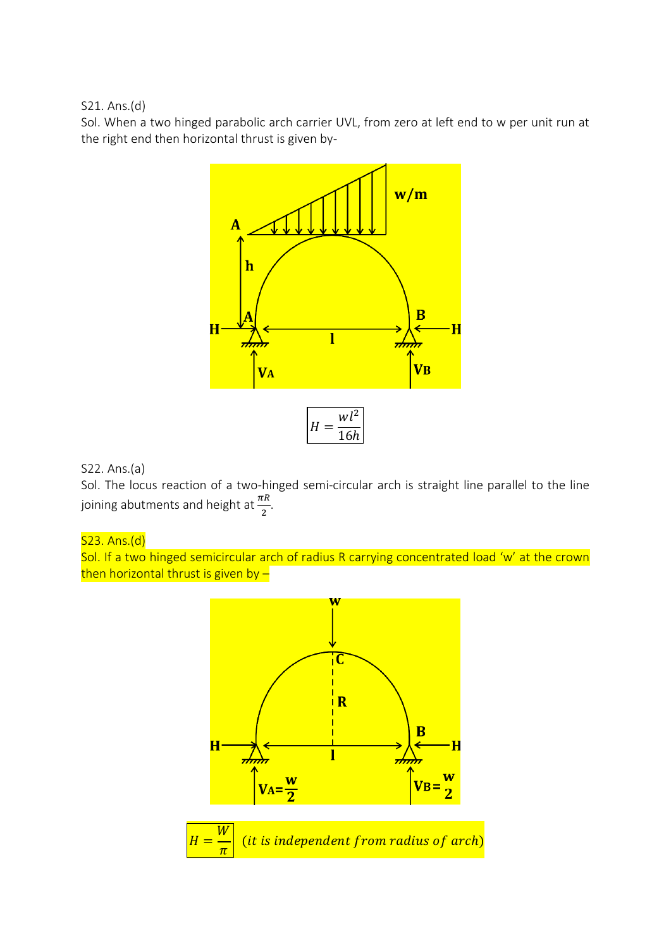S21. Ans.(d)

Sol. When a two hinged parabolic arch carrier UVL, from zero at left end to w per unit run at the right end then horizontal thrust is given by-



### S22. Ans.(a)

Sol. The locus reaction of a two-hinged semi-circular arch is straight line parallel to the line joining abutments and height at  $\frac{\pi R}{2}$ .

## S23. Ans.(d)

Sol. If a two hinged semicircular arch of radius R carrying concentrated load 'w' at the crown then horizontal thrust is given by -

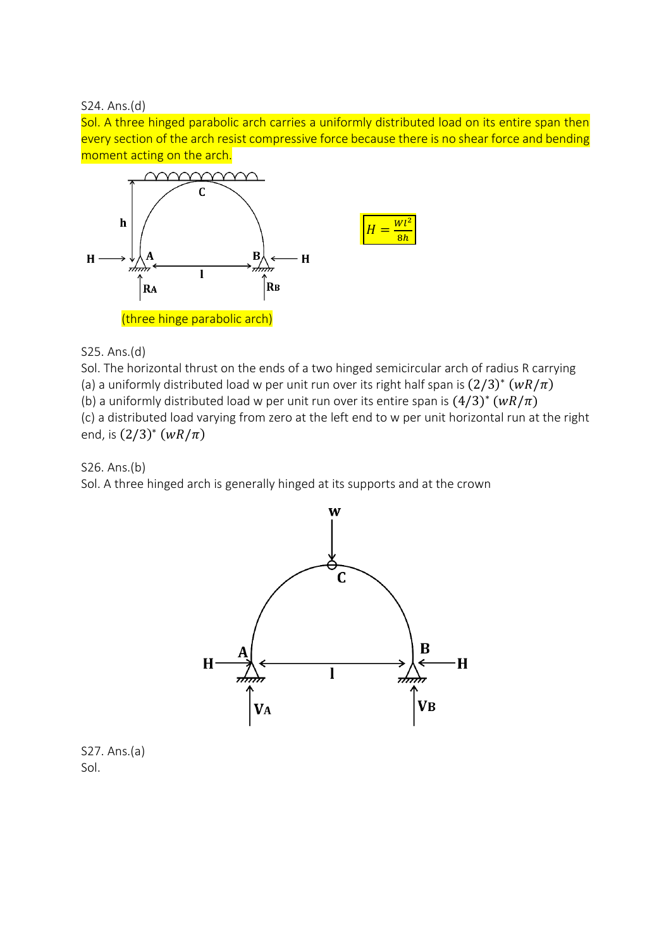S24. Ans.(d)

Sol. A three hinged parabolic arch carries a uniformly distributed load on its entire span then every section of the arch resist compressive force because there is no shear force and bending moment acting on the arch.



S25. Ans.(d)

Sol. The horizontal thrust on the ends of a two hinged semicircular arch of radius R carrying (a) a uniformly distributed load w per unit run over its right half span is  $(2/3)^*$   $(wR/\pi)$ (b) a uniformly distributed load w per unit run over its entire span is  $(4/3)^*$   $(wR/\pi)$ (c) a distributed load varying from zero at the left end to w per unit horizontal run at the right end, is  $(2/3)^* (wR/\pi)$ 

S26. Ans.(b)

Sol. A three hinged arch is generally hinged at its supports and at the crown



S27. Ans.(a) Sol.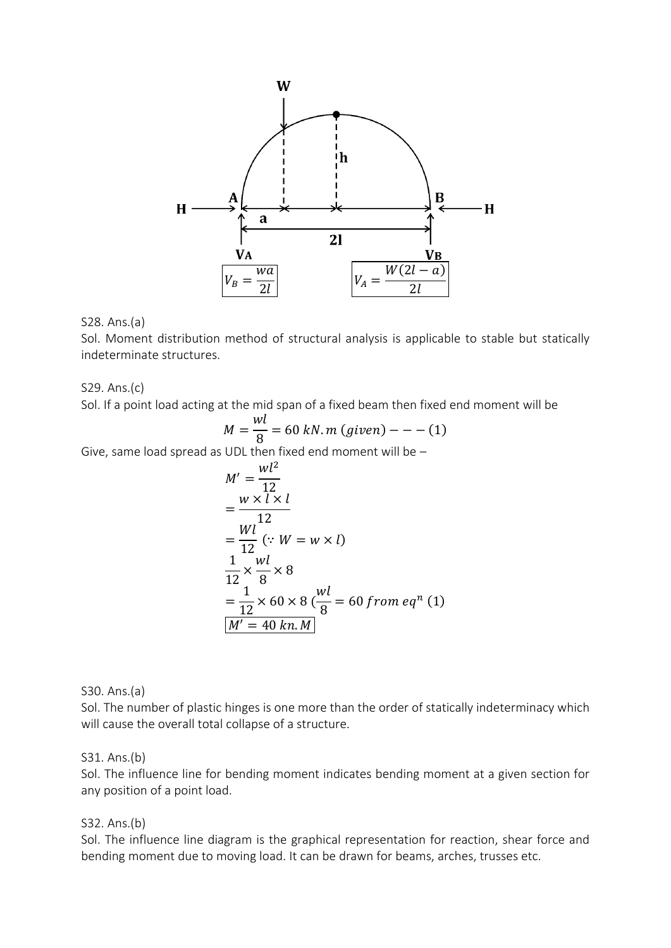

#### S28. Ans.(a)

Sol. Moment distribution method of structural analysis is applicable to stable but statically indeterminate structures.

#### S29. Ans.(c)

Sol. If a point load acting at the mid span of a fixed beam then fixed end moment will be

$$
M = \frac{wl}{8} = 60 \text{ kN} \cdot m \text{ (given)} - - - (1)
$$

Give, same load spread as UDL then fixed end moment will be –

$$
M' = \frac{wl^2}{12}
$$
  
= 
$$
\frac{w \times l \times l}{12}
$$
  
= 
$$
\frac{Wl}{12} (\because W = w \times l)
$$
  
= 
$$
\frac{1}{12} \times \frac{wl}{8} \times 8
$$
  
= 
$$
\frac{1}{12} \times 60 \times 8 \left(\frac{wl}{8}\right) = 60 \text{ from eq}^n (1)
$$
  

$$
M' = 40 \text{ km.M}
$$

S30. Ans.(a)

Sol. The number of plastic hinges is one more than the order of statically indeterminacy which will cause the overall total collapse of a structure.

#### S31. Ans.(b)

Sol. The influence line for bending moment indicates bending moment at a given section for any position of a point load.

#### S32. Ans.(b)

Sol. The influence line diagram is the graphical representation for reaction, shear force and bending moment due to moving load. It can be drawn for beams, arches, trusses etc.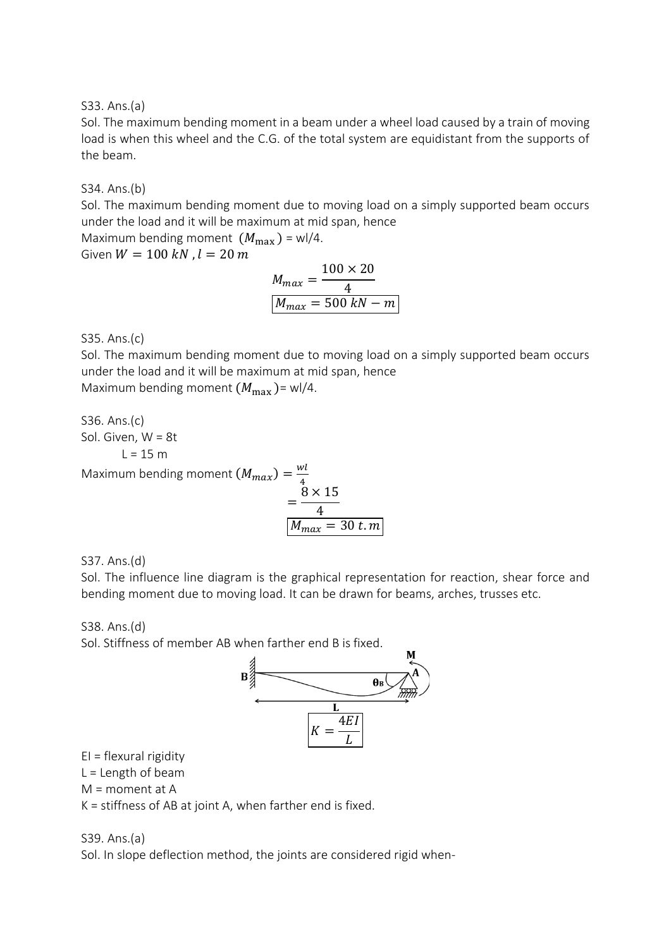S33. Ans.(a)

Sol. The maximum bending moment in a beam under a wheel load caused by a train of moving load is when this wheel and the C.G. of the total system are equidistant from the supports of the beam.

S34. Ans.(b)

Sol. The maximum bending moment due to moving load on a simply supported beam occurs under the load and it will be maximum at mid span, hence

Maximum bending moment  $(M_{\text{max}})$  = wl/4.

Given  $W = 100 kN$ ,  $l = 20 m$ 

$$
M_{max} = \frac{100 \times 20}{4}
$$

$$
M_{max} = 500 \, kN - m
$$

S35. Ans.(c)

Sol. The maximum bending moment due to moving load on a simply supported beam occurs under the load and it will be maximum at mid span, hence Maximum bending moment  $(M_{\text{max}})$  = wl/4.

S36. Ans.(c) Sol. Given, W = 8t  $L = 15 m$ Maximum bending moment  $(M_{max}) = \frac{wl}{4}$ 4 =  $8 \times 15$ 4  $M_{max} = 30$  t.m

S37. Ans.(d)

Sol. The influence line diagram is the graphical representation for reaction, shear force and bending moment due to moving load. It can be drawn for beams, arches, trusses etc.

S38. Ans.(d) Sol. Stiffness of member AB when farther end B is fixed.



EI = flexural rigidity

 $L =$  Length of beam

M = moment at A

K = stiffness of AB at joint A, when farther end is fixed.

#### S39. Ans.(a)

Sol. In slope deflection method, the joints are considered rigid when-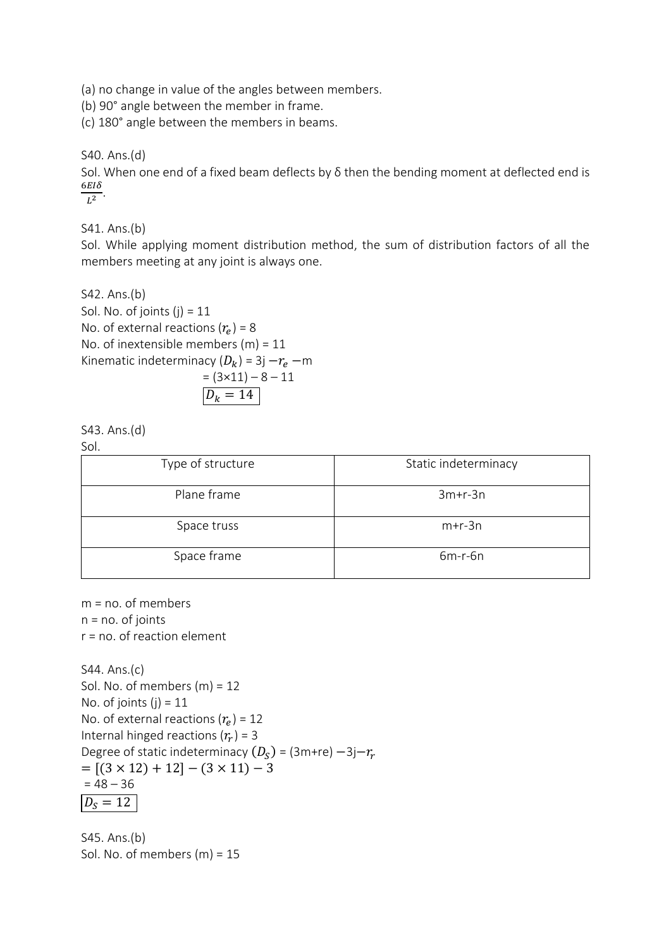(a) no change in value of the angles between members.

(b) 90° angle between the member in frame.

(c) 180° angle between the members in beams.

S40. Ans.(d)

Sol. When one end of a fixed beam deflects by δ then the bending moment at deflected end is  $6EI\delta$  $\frac{210}{L^2}$ .

S41. Ans.(b)

Sol. While applying moment distribution method, the sum of distribution factors of all the members meeting at any joint is always one.

S42. Ans.(b) Sol. No. of joints  $(j) = 11$ No. of external reactions  $(r_e)$  = 8 No. of inextensible members  $(m) = 11$ Kinematic indeterminacy  $(D_k)$  = 3j  $-r_e$  –m  $= (3 \times 11) - 8 - 11$  $D_k = 14$ 

$$
543. Ans.(d)
$$

Sol.

| ---               |                      |  |
|-------------------|----------------------|--|
| Type of structure | Static indeterminacy |  |
| Plane frame       | $3m+r-3n$            |  |
| Space truss       | $m+r-3n$             |  |
| Space frame       | $6m-r-6n$            |  |

m = no. of members  $n = no$ . of joints r = no. of reaction element

S44. Ans.(c) Sol. No. of members (m) = 12 No. of joints  $(j) = 11$ No. of external reactions  $(r_e)$  = 12 Internal hinged reactions  $(r_r)$  = 3 Degree of static indeterminacy  $(D_S)$  = (3m+re)  $-3$ j $-r_r$  $= [(3 \times 12) + 12] - (3 \times 11) - 3$  $= 48 - 36$  $D_{\rm S} = 12$ 

S45. Ans.(b) Sol. No. of members (m) = 15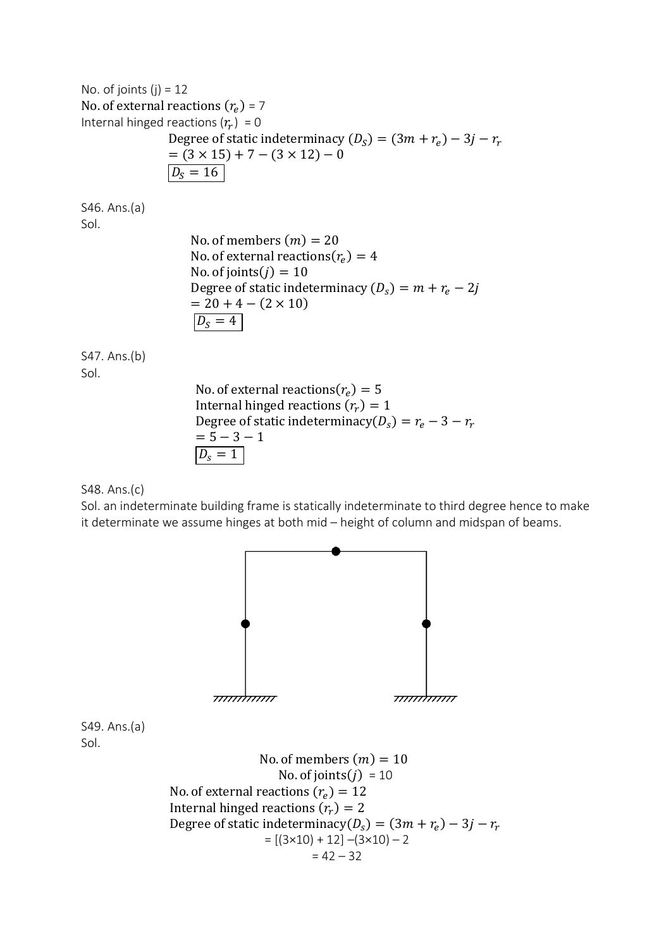No. of joints  $(j) = 12$ No. of external reactions  $(r_e)$  = 7 Internal hinged reactions  $(r_r) = 0$ Degree of static indeterminacy  $(D_S) = (3m + r_e) - 3j - r_r$  $= (3 \times 15) + 7 - (3 \times 12) - 0$  $D_s = 16$ 

S46. Ans.(a) Sol.

> No. of members  $(m) = 20$ No. of external reactions( $r_e$ ) = 4 No. of joints $(j) = 10$ Degree of static indeterminacy  $(D_s) = m + r_e - 2j$  $= 20 + 4 - (2 \times 10)$  $D_S = 4$

S47. Ans.(b) Sol.

> No. of external reactions( $r_e$ ) = 5 Internal hinged reactions  $(r_r) = 1$ Degree of static indeterminacy( $D_s$ ) =  $r_e$  – 3 –  $r_r$  $= 5 - 3 - 1$  $D_{s} = 1$

S48. Ans.(c)

Sol. an indeterminate building frame is statically indeterminate to third degree hence to make it determinate we assume hinges at both mid – height of column and midspan of beams.



S49. Ans.(a) Sol.

> No. of members  $(m) = 10$ No. of joints $(j) = 10$ No. of external reactions  $(r_e) = 12$ Internal hinged reactions  $(r_r) = 2$ Degree of static indeterminacy( $D_s$ ) =  $(3m + r_e) - 3j - r_r$  $= [(3 \times 10) + 12] - (3 \times 10) - 2$  $= 42 - 32$